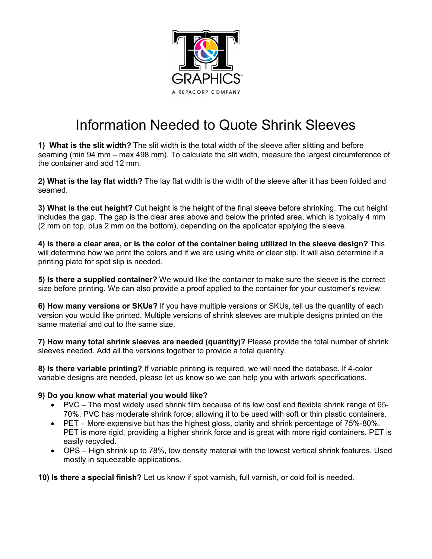

## Information Needed to Quote Shrink Sleeves

**1) What is the slit width?** The slit width is the total width of the sleeve after slitting and before seaming (min 94 mm – max 498 mm). To calculate the slit width, measure the largest circumference of the container and add 12 mm.

**2) What is the lay flat width?** The lay flat width is the width of the sleeve after it has been folded and seamed.

**3) What is the cut height?** Cut height is the height of the final sleeve before shrinking. The cut height includes the gap. The gap is the clear area above and below the printed area, which is typically 4 mm (2 mm on top, plus 2 mm on the bottom), depending on the applicator applying the sleeve.

**4) Is there a clear area, or is the color of the container being utilized in the sleeve design?** This will determine how we print the colors and if we are using white or clear slip. It will also determine if a printing plate for spot slip is needed.

**5) Is there a supplied container?** We would like the container to make sure the sleeve is the correct size before printing. We can also provide a proof applied to the container for your customer's review.

**6) How many versions or SKUs?** If you have multiple versions or SKUs, tell us the quantity of each version you would like printed. Multiple versions of shrink sleeves are multiple designs printed on the same material and cut to the same size.

**7) How many total shrink sleeves are needed (quantity)?** Please provide the total number of shrink sleeves needed. Add all the versions together to provide a total quantity.

**8) Is there variable printing?** If variable printing is required, we will need the database. If 4-color variable designs are needed, please let us know so we can help you with artwork specifications.

## **9) Do you know what material you would like?**

- PVC The most widely used shrink film because of its low cost and flexible shrink range of 65- 70%. PVC has moderate shrink force, allowing it to be used with soft or thin plastic containers.
- PET More expensive but has the highest gloss, clarity and shrink percentage of 75%-80%. PET is more rigid, providing a higher shrink force and is great with more rigid containers. PET is easily recycled.
- OPS High shrink up to 78%, low density material with the lowest vertical shrink features. Used mostly in squeezable applications.

**10) Is there a special finish?** Let us know if spot varnish, full varnish, or cold foil is needed.